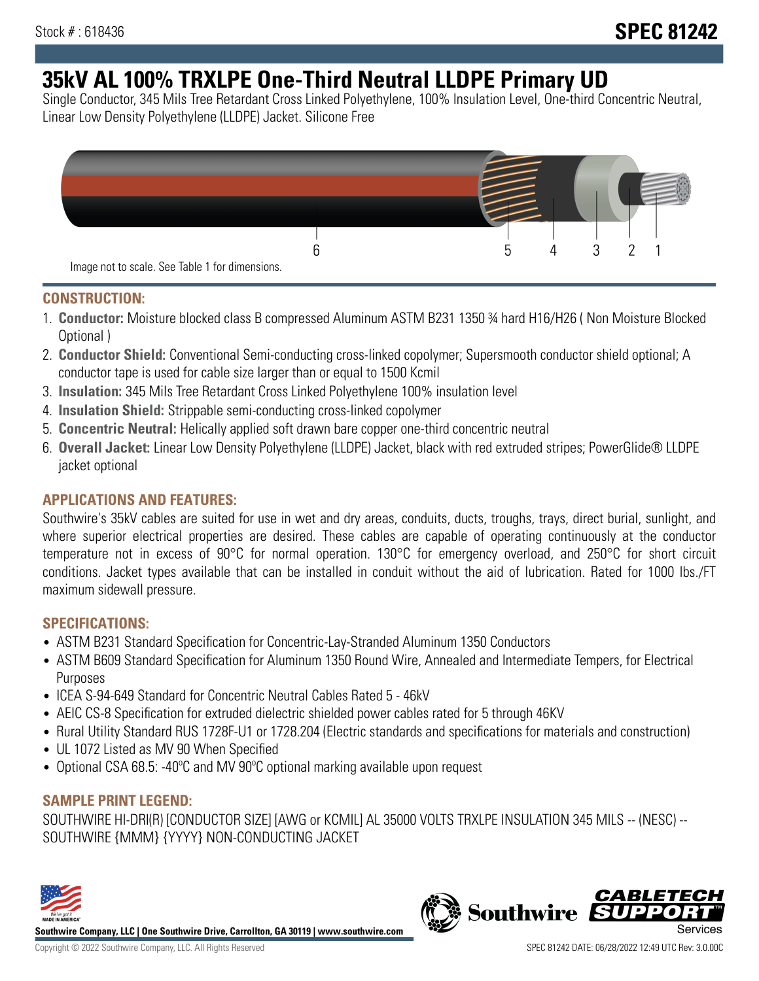# **35kV AL 100% TRXLPE One-Third Neutral LLDPE Primary UD**

Single Conductor, 345 Mils Tree Retardant Cross Linked Polyethylene, 100% Insulation Level, One-third Concentric Neutral, Linear Low Density Polyethylene (LLDPE) Jacket. Silicone Free



### **CONSTRUCTION:**

- 1. **Conductor:** Moisture blocked class B compressed Aluminum ASTM B231 1350 ¾ hard H16/H26 ( Non Moisture Blocked Optional )
- 2. **Conductor Shield:** Conventional Semi-conducting cross-linked copolymer; Supersmooth conductor shield optional; A conductor tape is used for cable size larger than or equal to 1500 Kcmil
- 3. **Insulation:** 345 Mils Tree Retardant Cross Linked Polyethylene 100% insulation level
- 4. **Insulation Shield:** Strippable semi-conducting cross-linked copolymer
- 5. **Concentric Neutral:** Helically applied soft drawn bare copper one-third concentric neutral
- 6. **Overall Jacket:** Linear Low Density Polyethylene (LLDPE) Jacket, black with red extruded stripes; PowerGlide® LLDPE jacket optional

## **APPLICATIONS AND FEATURES:**

Southwire's 35kV cables are suited for use in wet and dry areas, conduits, ducts, troughs, trays, direct burial, sunlight, and where superior electrical properties are desired. These cables are capable of operating continuously at the conductor temperature not in excess of 90°C for normal operation. 130°C for emergency overload, and 250°C for short circuit conditions. Jacket types available that can be installed in conduit without the aid of lubrication. Rated for 1000 lbs./FT maximum sidewall pressure.

## **SPECIFICATIONS:**

- ASTM B231 Standard Specification for Concentric-Lay-Stranded Aluminum 1350 Conductors
- ASTM B609 Standard Specification for Aluminum 1350 Round Wire, Annealed and Intermediate Tempers, for Electrical Purposes
- ICEA S-94-649 Standard for Concentric Neutral Cables Rated 5 46kV
- AEIC CS-8 Specification for extruded dielectric shielded power cables rated for 5 through 46KV
- Rural Utility Standard RUS 1728F-U1 or 1728.204 (Electric standards and specifications for materials and construction)
- UL 1072 Listed as MV 90 When Specified
- Optional CSA 68.5: -40ºC and MV 90ºC optional marking available upon request

## **SAMPLE PRINT LEGEND:**

SOUTHWIRE HI-DRI(R) [CONDUCTOR SIZE] [AWG or KCMIL] AL 35000 VOLTS TRXLPE INSULATION 345 MILS -- (NESC) -- SOUTHWIRE {MMM} {YYYY} NON-CONDUCTING JACKET



**Southwire Company, LLC | One Southwire Drive, Carrollton, GA 30119 | www.southwire.com**

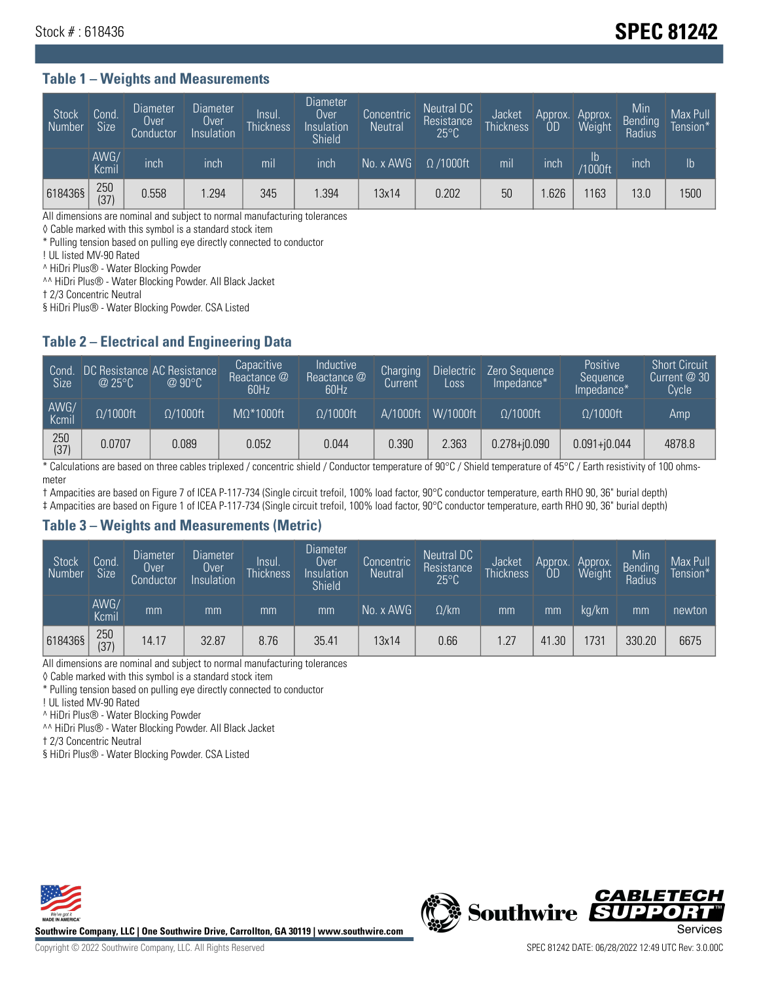## Stock # : 618436 **SPEC 81242**

#### **Table 1 – Weights and Measurements**

| <b>Stock</b><br>Number | Cond.<br>Size <sup>'</sup> | <b>Diameter</b><br>Over<br>Conductor | Diameter<br>Over<br>Insulation | Insul.<br><b>Thickness</b> | <b>Diameter</b><br>Over<br>Insulation<br><b>Shield</b> | Concentric<br><b>Neutral</b> | Neutral DC<br>Resistance<br>$25^{\circ}$ C | Jacket<br><b>Thickness</b> | Approx.<br><b>OD</b> | Approx.<br>Weight     | Min<br>Bending<br>Radius | Max Pull<br>Tension*' |
|------------------------|----------------------------|--------------------------------------|--------------------------------|----------------------------|--------------------------------------------------------|------------------------------|--------------------------------------------|----------------------------|----------------------|-----------------------|--------------------------|-----------------------|
|                        | AWG/<br>Kcmil              | inch                                 | inch                           | mıl                        | inch                                                   | No. x AWG                    | $\Omega$ /1000ft                           | mil                        | inch                 | lb.<br><b>Y1000ft</b> | inch                     | $\mathsf{lb}$         |
| 618436§                | 250<br>(37)                | 0.558                                | 1.294                          | 345                        | .394                                                   | 13x14                        | 0.202                                      | 50                         | .626                 | 163                   | 13.0                     | 1500                  |

All dimensions are nominal and subject to normal manufacturing tolerances

◊ Cable marked with this symbol is a standard stock item

\* Pulling tension based on pulling eye directly connected to conductor

! UL listed MV-90 Rated

^ HiDri Plus® - Water Blocking Powder

^^ HiDri Plus® - Water Blocking Powder. All Black Jacket

† 2/3 Concentric Neutral

§ HiDri Plus® - Water Blocking Powder. CSA Listed

#### **Table 2 – Electrical and Engineering Data**

| Cond<br>Size <sup>'</sup> | @25°C            | DC Resistance AC Resistance<br>$@$ 90 $^{\circ}$ C | Capacitive<br>Reactance @<br>60Hz | Inductive<br>Reactance @<br>60Hz | Charging<br>Current | <b>Dielectric</b><br>Loss | Zero Sequence<br>Impedance* | Positive<br>Sequence<br>Impedance* | <b>Short Circuit</b><br>Current @ 30<br><b>Cycle</b> |
|---------------------------|------------------|----------------------------------------------------|-----------------------------------|----------------------------------|---------------------|---------------------------|-----------------------------|------------------------------------|------------------------------------------------------|
| AWG/<br>Kcmil             | $\Omega/1000$ ft | $\Omega/1000$ ft                                   | $M\Omega^*1000$ ft                | $\Omega/1000$ ft                 | A/1000ft            | W/1000ft                  | $\Omega/1000$ ft            | $\Omega/1000$ ft                   | Amp                                                  |
| 250<br>(37)               | 0.0707           | 0.089                                              | 0.052                             | 0.044                            | 0.390               | 2.363                     | $0.278 + j0.090$            | $0.091 + 0.044$                    | 4878.8                                               |

\* Calculations are based on three cables triplexed / concentric shield / Conductor temperature of 90°C / Shield temperature of 45°C / Earth resistivity of 100 ohmsmeter

† Ampacities are based on Figure 7 of ICEA P-117-734 (Single circuit trefoil, 100% load factor, 90°C conductor temperature, earth RHO 90, 36" burial depth)

‡ Ampacities are based on Figure 1 of ICEA P-117-734 (Single circuit trefoil, 100% load factor, 90°C conductor temperature, earth RHO 90, 36" burial depth)

#### **Table 3 – Weights and Measurements (Metric)**

| Stock<br>Number | Cond.<br>Size <sup>1</sup> | <b>Diameter</b><br>Over<br>Conductor | Diameter<br>Over<br>Insulation | <b>Insul</b><br><b>Thickness</b> | <b>Diameter</b><br>Over<br>Insulation<br><b>Shield</b> | Concentric<br><b>Neutral</b> | Neutral DC<br>Resistance<br>$25^{\circ}C$ | Jacket<br><b>Thickness</b> | Approx.<br>0 <sub>D</sub> | Approx.<br>Weight | Min<br> Bending<br>  Radius | Max Pull<br>Tension* |
|-----------------|----------------------------|--------------------------------------|--------------------------------|----------------------------------|--------------------------------------------------------|------------------------------|-------------------------------------------|----------------------------|---------------------------|-------------------|-----------------------------|----------------------|
|                 | AWG/<br>Kcmil              | mm                                   | mm                             | mm                               | mm                                                     | No. x AWG                    | $\Omega$ /km                              | mm                         | mm                        | ka/km             | mm                          | newton               |
| 618436§         | 250<br>(37)                | 14.17                                | 32.87                          | 8.76                             | 35.41                                                  | 13x14                        | 0.66                                      | 1.27                       | 41.30                     | 731               | 330.20                      | 6675                 |

All dimensions are nominal and subject to normal manufacturing tolerances

◊ Cable marked with this symbol is a standard stock item

\* Pulling tension based on pulling eye directly connected to conductor

! UL listed MV-90 Rated

^ HiDri Plus® - Water Blocking Powder

^^ HiDri Plus® - Water Blocking Powder. All Black Jacket

† 2/3 Concentric Neutral

§ HiDri Plus® - Water Blocking Powder. CSA Listed



**Southwire Company, LLC | One Southwire Drive, Carrollton, GA 30119 | www.southwire.com**